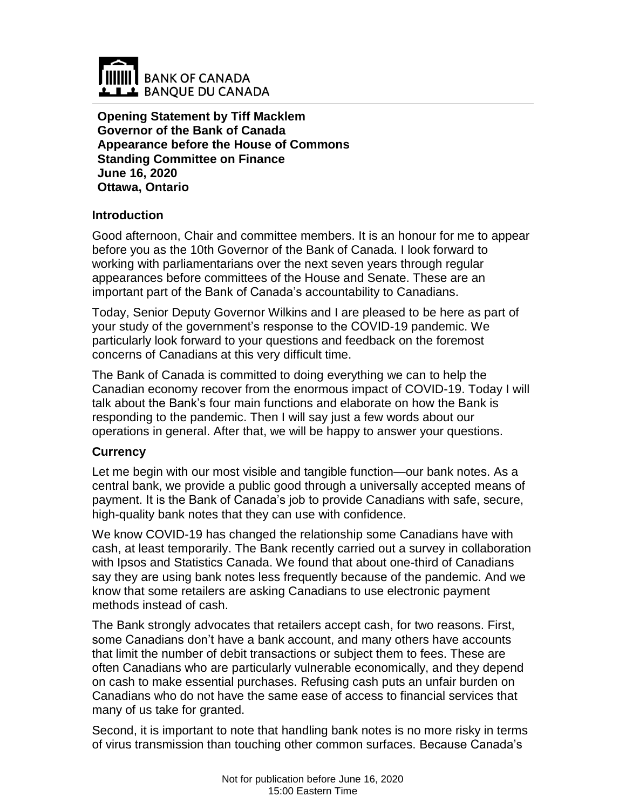

**Opening Statement by Tiff Macklem Governor of the Bank of Canada Appearance before the House of Commons Standing Committee on Finance June 16, 2020 Ottawa, Ontario**

### **Introduction**

Good afternoon, Chair and committee members. It is an honour for me to appear before you as the 10th Governor of the Bank of Canada. I look forward to working with parliamentarians over the next seven years through regular appearances before committees of the House and Senate. These are an important part of the Bank of Canada's accountability to Canadians.

Today, Senior Deputy Governor Wilkins and I are pleased to be here as part of your study of the government's response to the COVID-19 pandemic. We particularly look forward to your questions and feedback on the foremost concerns of Canadians at this very difficult time.

The Bank of Canada is committed to doing everything we can to help the Canadian economy recover from the enormous impact of COVID-19. Today I will talk about the Bank's four main functions and elaborate on how the Bank is responding to the pandemic. Then I will say just a few words about our operations in general. After that, we will be happy to answer your questions.

# **Currency**

Let me begin with our most visible and tangible function—our bank notes. As a central bank, we provide a public good through a universally accepted means of payment. It is the Bank of Canada's job to provide Canadians with safe, secure, high-quality bank notes that they can use with confidence.

We know COVID-19 has changed the relationship some Canadians have with cash, at least temporarily. The Bank recently carried out a survey in collaboration with Ipsos and Statistics Canada. We found that about one-third of Canadians say they are using bank notes less frequently because of the pandemic. And we know that some retailers are asking Canadians to use electronic payment methods instead of cash.

The Bank strongly advocates that retailers accept cash, for two reasons. First, some Canadians don't have a bank account, and many others have accounts that limit the number of debit transactions or subject them to fees. These are often Canadians who are particularly vulnerable economically, and they depend on cash to make essential purchases. Refusing cash puts an unfair burden on Canadians who do not have the same ease of access to financial services that many of us take for granted.

Second, it is important to note that handling bank notes is no more risky in terms of virus transmission than touching other common surfaces. Because Canada's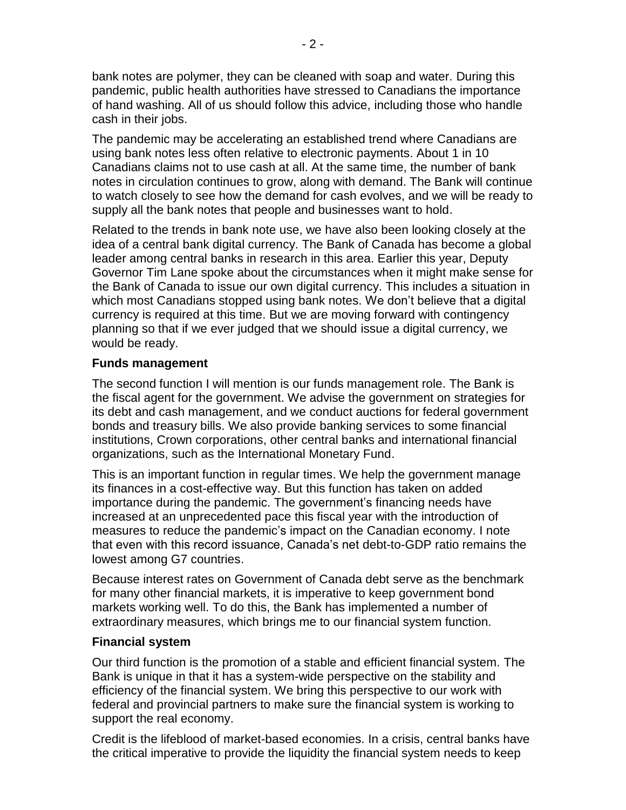bank notes are polymer, they can be cleaned with soap and water. During this pandemic, public health authorities have stressed to Canadians the importance of hand washing. All of us should follow this advice, including those who handle cash in their jobs.

The pandemic may be accelerating an established trend where Canadians are using bank notes less often relative to electronic payments. About 1 in 10 Canadians claims not to use cash at all. At the same time, the number of bank notes in circulation continues to grow, along with demand. The Bank will continue to watch closely to see how the demand for cash evolves, and we will be ready to supply all the bank notes that people and businesses want to hold.

Related to the trends in bank note use, we have also been looking closely at the idea of a central bank digital currency. The Bank of Canada has become a global leader among central banks in research in this area. Earlier this year, Deputy Governor Tim Lane spoke about the circumstances when it might make sense for the Bank of Canada to issue our own digital currency. This includes a situation in which most Canadians stopped using bank notes. We don't believe that a digital currency is required at this time. But we are moving forward with contingency planning so that if we ever judged that we should issue a digital currency, we would be ready.

# **Funds management**

The second function I will mention is our funds management role. The Bank is the fiscal agent for the government. We advise the government on strategies for its debt and cash management, and we conduct auctions for federal government bonds and treasury bills. We also provide banking services to some financial institutions, Crown corporations, other central banks and international financial organizations, such as the International Monetary Fund.

This is an important function in regular times. We help the government manage its finances in a cost-effective way. But this function has taken on added importance during the pandemic. The government's financing needs have increased at an unprecedented pace this fiscal year with the introduction of measures to reduce the pandemic's impact on the Canadian economy. I note that even with this record issuance, Canada's net debt-to-GDP ratio remains the lowest among G7 countries.

Because interest rates on Government of Canada debt serve as the benchmark for many other financial markets, it is imperative to keep government bond markets working well. To do this, the Bank has implemented a number of extraordinary measures, which brings me to our financial system function.

# **Financial system**

Our third function is the promotion of a stable and efficient financial system. The Bank is unique in that it has a system-wide perspective on the stability and efficiency of the financial system. We bring this perspective to our work with federal and provincial partners to make sure the financial system is working to support the real economy.

Credit is the lifeblood of market-based economies. In a crisis, central banks have the critical imperative to provide the liquidity the financial system needs to keep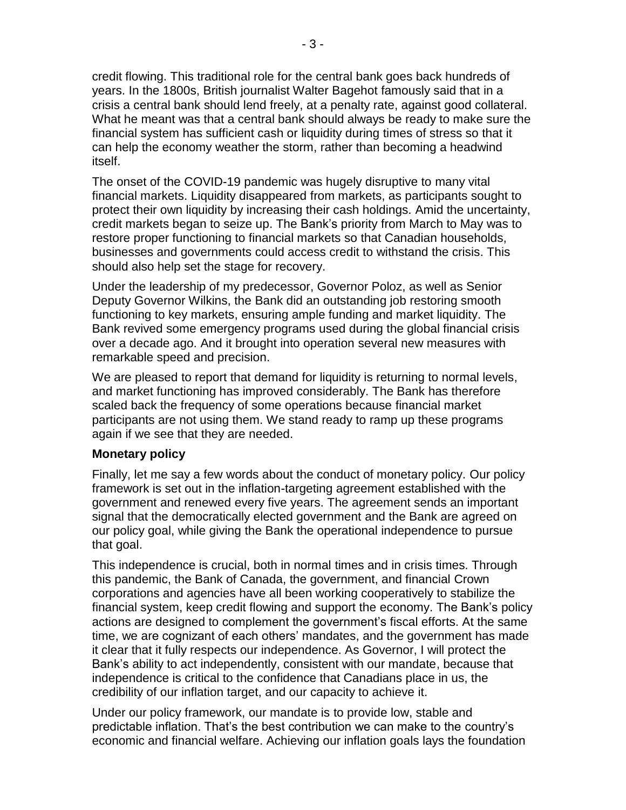credit flowing. This traditional role for the central bank goes back hundreds of years. In the 1800s, British journalist Walter Bagehot famously said that in a crisis a central bank should lend freely, at a penalty rate, against good collateral. What he meant was that a central bank should always be ready to make sure the financial system has sufficient cash or liquidity during times of stress so that it can help the economy weather the storm, rather than becoming a headwind itself.

The onset of the COVID-19 pandemic was hugely disruptive to many vital financial markets. Liquidity disappeared from markets, as participants sought to protect their own liquidity by increasing their cash holdings. Amid the uncertainty, credit markets began to seize up. The Bank's priority from March to May was to restore proper functioning to financial markets so that Canadian households, businesses and governments could access credit to withstand the crisis. This should also help set the stage for recovery.

Under the leadership of my predecessor, Governor Poloz, as well as Senior Deputy Governor Wilkins, the Bank did an outstanding job restoring smooth functioning to key markets, ensuring ample funding and market liquidity. The Bank revived some emergency programs used during the global financial crisis over a decade ago. And it brought into operation several new measures with remarkable speed and precision.

We are pleased to report that demand for liquidity is returning to normal levels, and market functioning has improved considerably. The Bank has therefore scaled back the frequency of some operations because financial market participants are not using them. We stand ready to ramp up these programs again if we see that they are needed.

### **Monetary policy**

Finally, let me say a few words about the conduct of monetary policy. Our policy framework is set out in the inflation-targeting agreement established with the government and renewed every five years. The agreement sends an important signal that the democratically elected government and the Bank are agreed on our policy goal, while giving the Bank the operational independence to pursue that goal.

This independence is crucial, both in normal times and in crisis times. Through this pandemic, the Bank of Canada, the government, and financial Crown corporations and agencies have all been working cooperatively to stabilize the financial system, keep credit flowing and support the economy. The Bank's policy actions are designed to complement the government's fiscal efforts. At the same time, we are cognizant of each others' mandates, and the government has made it clear that it fully respects our independence. As Governor, I will protect the Bank's ability to act independently, consistent with our mandate, because that independence is critical to the confidence that Canadians place in us, the credibility of our inflation target, and our capacity to achieve it.

Under our policy framework, our mandate is to provide low, stable and predictable inflation. That's the best contribution we can make to the country's economic and financial welfare. Achieving our inflation goals lays the foundation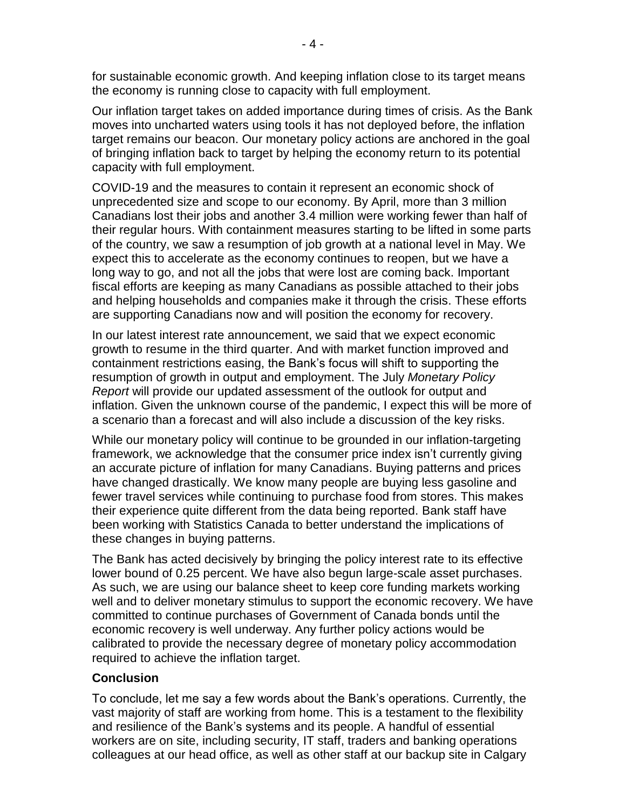for sustainable economic growth. And keeping inflation close to its target means the economy is running close to capacity with full employment.

Our inflation target takes on added importance during times of crisis. As the Bank moves into uncharted waters using tools it has not deployed before, the inflation target remains our beacon. Our monetary policy actions are anchored in the goal of bringing inflation back to target by helping the economy return to its potential capacity with full employment.

COVID-19 and the measures to contain it represent an economic shock of unprecedented size and scope to our economy. By April, more than 3 million Canadians lost their jobs and another 3.4 million were working fewer than half of their regular hours. With containment measures starting to be lifted in some parts of the country, we saw a resumption of job growth at a national level in May. We expect this to accelerate as the economy continues to reopen, but we have a long way to go, and not all the jobs that were lost are coming back. Important fiscal efforts are keeping as many Canadians as possible attached to their jobs and helping households and companies make it through the crisis. These efforts are supporting Canadians now and will position the economy for recovery.

In our latest interest rate announcement, we said that we expect economic growth to resume in the third quarter. And with market function improved and containment restrictions easing, the Bank's focus will shift to supporting the resumption of growth in output and employment. The July *Monetary Policy Report* will provide our updated assessment of the outlook for output and inflation. Given the unknown course of the pandemic, I expect this will be more of a scenario than a forecast and will also include a discussion of the key risks.

While our monetary policy will continue to be grounded in our inflation-targeting framework, we acknowledge that the consumer price index isn't currently giving an accurate picture of inflation for many Canadians. Buying patterns and prices have changed drastically. We know many people are buying less gasoline and fewer travel services while continuing to purchase food from stores. This makes their experience quite different from the data being reported. Bank staff have been working with Statistics Canada to better understand the implications of these changes in buying patterns.

The Bank has acted decisively by bringing the policy interest rate to its effective lower bound of 0.25 percent. We have also begun large-scale asset purchases. As such, we are using our balance sheet to keep core funding markets working well and to deliver monetary stimulus to support the economic recovery. We have committed to continue purchases of Government of Canada bonds until the economic recovery is well underway. Any further policy actions would be calibrated to provide the necessary degree of monetary policy accommodation required to achieve the inflation target.

# **Conclusion**

To conclude, let me say a few words about the Bank's operations. Currently, the vast majority of staff are working from home. This is a testament to the flexibility and resilience of the Bank's systems and its people. A handful of essential workers are on site, including security, IT staff, traders and banking operations colleagues at our head office, as well as other staff at our backup site in Calgary